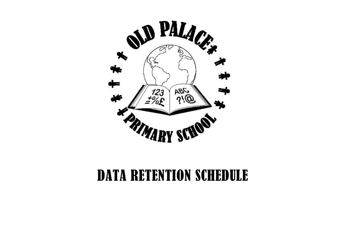

## DATA RETENTION SCHEDULE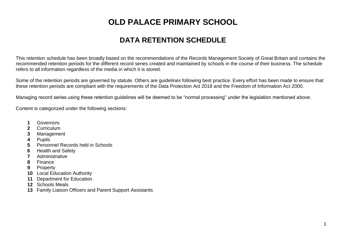## **OLD PALACE PRIMARY SCHOOL**

## **DATA RETENTION SCHEDULE**

This retention schedule has been broadly based on the recommendations of the Records Management Society of Great Britain and contains the recommended retention periods for the different record series created and maintained by schools in the course of their business. The schedule refers to all information regardless of the media in which it is stored.

Some of the retention periods are governed by statute. Others are guidelines following best practice. Every effort has been made to ensure that these retention periods are compliant with the requirements of the Data Protection Act 2018 and the Freedom of Information Act 2000.

Managing record series using these retention guidelines will be deemed to be "normal processing" under the legislation mentioned above.

Content is categorized under the following sections:

- Governors
- Curriculum
- Management
- Pupils
- Personnel Records held in Schools
- Health and Safety
- Administrative
- Finance
- Property
- Local Education Authority
- Department for Education
- Schools Meals
- Family Liaison Officers and Parent Support Assistants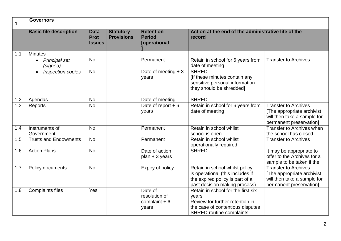|     | <b>Governors</b>                                                             |           |                                       |                                                     |                                                                                                                                                       |                                                                                                                     |  |
|-----|------------------------------------------------------------------------------|-----------|---------------------------------------|-----------------------------------------------------|-------------------------------------------------------------------------------------------------------------------------------------------------------|---------------------------------------------------------------------------------------------------------------------|--|
|     | <b>Basic file description</b><br><b>Data</b><br><b>Prot</b><br><b>Issues</b> |           | <b>Statutory</b><br><b>Provisions</b> | <b>Retention</b><br><b>Period</b><br>[operational   | Action at the end of the administrative life of the<br>record                                                                                         |                                                                                                                     |  |
| 1.1 | <b>Minutes</b>                                                               |           |                                       |                                                     |                                                                                                                                                       |                                                                                                                     |  |
|     | <b>Principal set</b><br>(signed)                                             | <b>No</b> |                                       | Permanent                                           | Retain in school for 6 years from<br>date of meeting                                                                                                  | <b>Transfer to Archives</b>                                                                                         |  |
|     | Inspection copies<br>$\bullet$                                               | <b>No</b> |                                       | Date of meeting $+3$<br>years                       | <b>SHRED</b><br>[If these minutes contain any<br>sensitive personal information<br>they should be shredded]                                           |                                                                                                                     |  |
| 1.2 | Agendas                                                                      | <b>No</b> |                                       | Date of meeting                                     | <b>SHRED</b>                                                                                                                                          |                                                                                                                     |  |
| 1.3 | Reports                                                                      | <b>No</b> |                                       | Date of report $+6$<br>years                        | Retain in school for 6 years from<br>date of meeting                                                                                                  | <b>Transfer to Archives</b><br>[The appropriate archivist<br>will then take a sample for<br>permanent preservation] |  |
| 1.4 | Instruments of<br>Government                                                 | <b>No</b> |                                       | Permanent                                           | Retain in school whilst<br>school is open                                                                                                             | Transfer to Archives when<br>the school has closed                                                                  |  |
| 1.5 | <b>Trusts and Endowments</b>                                                 | <b>No</b> |                                       | Permanent                                           | Retain in school whilst<br>operationally required                                                                                                     | <b>Transfer to Archives</b>                                                                                         |  |
| 1.6 | <b>Action Plans</b>                                                          | <b>No</b> |                                       | Date of action<br>$plan + 3 years$                  | <b>SHRED</b>                                                                                                                                          | It may be appropriate to<br>offer to the Archives for a<br>sample to be taken if the                                |  |
| 1.7 | Policy documents                                                             | <b>No</b> |                                       | Expiry of policy                                    | Retain in school whilst policy<br>is operational (this includes if<br>the expired policy is part of a<br>past decision making process)                | <b>Transfer to Archives</b><br>[The appropriate archivist<br>will then take a sample for<br>permanent preservation] |  |
| 1.8 | <b>Complaints files</b>                                                      | Yes       |                                       | Date of<br>resolution of<br>complaint $+6$<br>years | Retain in school for the first six<br>years<br>Review for further retention in<br>the case of contentious disputes<br><b>SHRED routine complaints</b> |                                                                                                                     |  |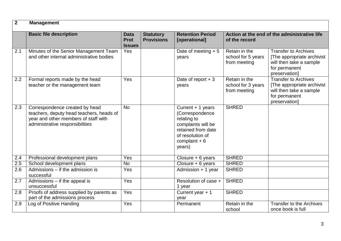| $\overline{2}$ | <b>Management</b>                                                                                                                                     |                                             |                                       |                                                                                                                                                 |                                                               |                                                                                                                         |  |
|----------------|-------------------------------------------------------------------------------------------------------------------------------------------------------|---------------------------------------------|---------------------------------------|-------------------------------------------------------------------------------------------------------------------------------------------------|---------------------------------------------------------------|-------------------------------------------------------------------------------------------------------------------------|--|
|                | <b>Basic file description</b>                                                                                                                         | <b>Data</b><br><b>Prot</b><br><b>Issues</b> | <b>Statutory</b><br><b>Provisions</b> | <b>Retention Period</b><br>[operational]                                                                                                        | Action at the end of the administrative life<br>of the record |                                                                                                                         |  |
| 2.1            | Minutes of the Senior Management Team<br>and other internal administrative bodies                                                                     | Yes                                         |                                       | Date of meeting $+5$<br>years                                                                                                                   | Retain in the<br>school for 5 years<br>from meeting           | <b>Transfer to Archives</b><br>[The appropriate archivist<br>will then take a sample<br>for permanent<br>preservation]  |  |
| 2.2            | Formal reports made by the head<br>teacher or the management team                                                                                     | Yes                                         |                                       | Date of report $+3$<br>years                                                                                                                    | Retain in the<br>school for 3 years<br>from meeting           | <b>Transfer to Archives</b><br>[The appropriate archivist]<br>will then take a sample<br>for permanent<br>preservation] |  |
| 2.3            | Correspondence created by head<br>teachers, deputy head teachers, heads of<br>year and other members of staff with<br>administrative responsibilities | <b>No</b>                                   |                                       | Current + 1 years<br>(Correspondence<br>relating to<br>complaints will be<br>retained from date<br>of resolution of<br>complaint $+6$<br>years) | <b>SHRED</b>                                                  |                                                                                                                         |  |
| 2.4            | Professional development plans                                                                                                                        | Yes                                         |                                       | Closure + 6 years                                                                                                                               | <b>SHRED</b>                                                  |                                                                                                                         |  |
| 2.5            | School development plans                                                                                                                              | $\overline{N}$                              |                                       | Closure + 6 years                                                                                                                               | <b>SHRED</b>                                                  |                                                                                                                         |  |
| 2.6            | Admissions - if the admission is<br>successful                                                                                                        | Yes                                         |                                       | Admission + 1 year                                                                                                                              | <b>SHRED</b>                                                  |                                                                                                                         |  |
| 2.7            | Admissions - if the appeal is<br>unsuccessful                                                                                                         | Yes                                         |                                       | Resolution of case +<br>1 year                                                                                                                  | <b>SHRED</b>                                                  |                                                                                                                         |  |
| 2.8            | Proofs of address supplied by parents as<br>part of the admissions process                                                                            | Yes                                         |                                       | Current year $+1$<br>year                                                                                                                       | <b>SHRED</b>                                                  |                                                                                                                         |  |
| 2.9            | Log of Positive Handing                                                                                                                               | Yes                                         |                                       | Permanent                                                                                                                                       | Retain in the<br>school                                       | <b>Transfer to the Archives</b><br>once book is full                                                                    |  |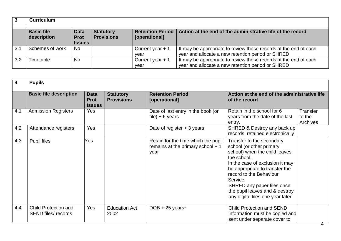|     | <b>Curriculum</b>                |                                             |                                       |                                          |                                                                                                                       |
|-----|----------------------------------|---------------------------------------------|---------------------------------------|------------------------------------------|-----------------------------------------------------------------------------------------------------------------------|
|     | <b>Basic file</b><br>description | <b>Data</b><br><b>Prot</b><br><b>Issues</b> | <b>Statutory</b><br><b>Provisions</b> | <b>Retention Period</b><br>[operational] | Action at the end of the administrative life of the record                                                            |
| 3.1 | Schemes of work                  | <b>No</b>                                   |                                       | Current year $+1$<br>vear                | It may be appropriate to review these records at the end of each<br>year and allocate a new retention period or SHRED |
| 3.2 | Timetable                        | No                                          |                                       | Current year $+1$<br>year                | It may be appropriate to review these records at the end of each<br>year and allocate a new retention period or SHRED |

| 4   | <b>Pupils</b>                                      |                                      |                                       |                                                                                   |                                                                                                                                                                                                                                                                                                                      |                                |
|-----|----------------------------------------------------|--------------------------------------|---------------------------------------|-----------------------------------------------------------------------------------|----------------------------------------------------------------------------------------------------------------------------------------------------------------------------------------------------------------------------------------------------------------------------------------------------------------------|--------------------------------|
|     | <b>Basic file description</b>                      | Data<br><b>Prot</b><br><b>Issues</b> | <b>Statutory</b><br><b>Provisions</b> | <b>Retention Period</b><br>[operational]                                          | Action at the end of the administrative life<br>of the record                                                                                                                                                                                                                                                        |                                |
| 4.1 | <b>Admission Registers</b>                         | Yes                                  |                                       | Date of last entry in the book (or<br>file) $+ 6$ years                           | Retain in the school for 6<br>years from the date of the last<br>entry.                                                                                                                                                                                                                                              | Transfer<br>to the<br>Archives |
| 4.2 | Attendance registers                               | Yes                                  |                                       | Date of register $+3$ years                                                       | SHRED & Destroy any back up<br>records retained electronically                                                                                                                                                                                                                                                       |                                |
| 4.3 | Pupil files                                        | Yes                                  |                                       | Retain for the time which the pupil<br>remains at the primary school $+1$<br>year | Transfer to the secondary<br>school (or other primary<br>school) when the child leaves<br>the school.<br>In the case of exclusion it may<br>be appropriate to transfer the<br>record to the Behaviour<br>Service<br>SHRED any paper files once<br>the pupil leaves and & destroy<br>any digital files one year later |                                |
| 4.4 | Child Protection and<br><b>SEND files/ records</b> | Yes                                  | <b>Education Act</b><br>2002          | DOB + 25 years <sup>1</sup>                                                       | <b>Child Protection and SEND</b><br>information must be copied and<br>sent under separate cover to                                                                                                                                                                                                                   |                                |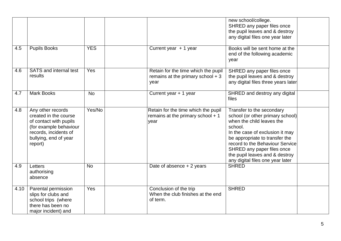|      |                                                                                                                                                             |            |                                                                                   | new school/college.<br>SHRED any paper files once<br>the pupil leaves and & destroy<br>any digital files one year later                                                                                                                                                                                           |
|------|-------------------------------------------------------------------------------------------------------------------------------------------------------------|------------|-----------------------------------------------------------------------------------|-------------------------------------------------------------------------------------------------------------------------------------------------------------------------------------------------------------------------------------------------------------------------------------------------------------------|
| 4.5  | <b>Pupils Books</b>                                                                                                                                         | <b>YES</b> | Current year $+1$ year                                                            | Books will be sent home at the<br>end of the following academic<br>year                                                                                                                                                                                                                                           |
| 4.6  | <b>SATS</b> and internal test<br>results                                                                                                                    | Yes        | Retain for the time which the pupil<br>remains at the primary school $+3$<br>year | SHRED any paper files once<br>the pupil leaves and & destroy<br>any digital files three years later                                                                                                                                                                                                               |
| 4.7  | <b>Mark Books</b>                                                                                                                                           | <b>No</b>  | Current year + 1 year                                                             | SHRED and destroy any digital<br>files                                                                                                                                                                                                                                                                            |
| 4.8  | Any other records<br>created in the course<br>of contact with pupils<br>(for example behaviour<br>records, incidents of<br>bullying, end of year<br>report) | Yes/No     | Retain for the time which the pupil<br>remains at the primary school $+1$<br>year | Transfer to the secondary<br>school (or other primary school)<br>when the child leaves the<br>school.<br>In the case of exclusion it may<br>be appropriate to transfer the<br>record to the Behaviour Service<br>SHRED any paper files once<br>the pupil leaves and & destroy<br>any digital files one year later |
| 4.9  | Letters<br>authorising<br>absence                                                                                                                           | <b>No</b>  | Date of absence $+2$ years                                                        | <b>SHRED</b>                                                                                                                                                                                                                                                                                                      |
| 4.10 | Parental permission<br>slips for clubs and<br>school trips (where<br>there has been no<br>major incident) and                                               | Yes        | Conclusion of the trip<br>When the club finishes at the end<br>of term.           | <b>SHRED</b>                                                                                                                                                                                                                                                                                                      |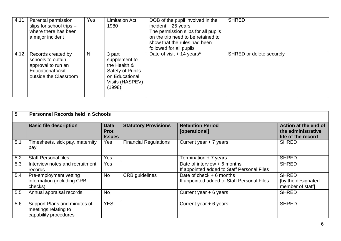| 4.11 | Parental permission<br>slips for school trips -<br>where there has been<br>a major incident                        | <b>Yes</b> | <b>Limitation Act</b><br>1980                                                                               | DOB of the pupil involved in the<br>incident $+25$ years<br>The permission slips for all pupils<br>on the trip need to be retained to<br>show that the rules had been<br>followed for all pupils | <b>SHRED</b>             |  |
|------|--------------------------------------------------------------------------------------------------------------------|------------|-------------------------------------------------------------------------------------------------------------|--------------------------------------------------------------------------------------------------------------------------------------------------------------------------------------------------|--------------------------|--|
| 4.12 | Records created by<br>schools to obtain<br>approval to run an<br><b>Educational Visit</b><br>outside the Classroom | N          | 3 part<br>supplement to<br>the Health &<br>Safety of Pupils<br>on Educational<br>Visits (HASPEV)<br>(1998). | Date of visit $+14$ years <sup>6</sup>                                                                                                                                                           | SHRED or delete securely |  |

| 5   | <b>Personnel Records held in Schools</b>                                      |                                             |                              |                                                                             |                                                                  |  |  |
|-----|-------------------------------------------------------------------------------|---------------------------------------------|------------------------------|-----------------------------------------------------------------------------|------------------------------------------------------------------|--|--|
|     | <b>Basic file description</b>                                                 | <b>Data</b><br><b>Prot</b><br><b>Issues</b> | <b>Statutory Provisions</b>  | <b>Retention Period</b><br>[operational]                                    | Action at the end of<br>the administrative<br>life of the record |  |  |
| 5.1 | Timesheets, sick pay, maternity<br>pay                                        | <b>Yes</b>                                  | <b>Financial Regulations</b> | Current year $+ 7$ years                                                    | <b>SHRED</b>                                                     |  |  |
| 5.2 | <b>Staff Personal files</b>                                                   | Yes                                         |                              | Termination + 7 years                                                       | <b>SHRED</b>                                                     |  |  |
| 5.3 | Interview notes and recruitment<br>records                                    | <b>Yes</b>                                  |                              | Date of interview $+6$ months<br>If appointed added to Staff Personal Files | <b>SHRED</b>                                                     |  |  |
| 5.4 | Pre-employment vetting<br>information (including CRB<br>checks)               | No                                          | <b>CRB</b> guidelines        | Date of check $+6$ months<br>If appointed added to Staff Personal Files     | <b>SHRED</b><br>[by the designated]<br>member of staff]          |  |  |
| 5.5 | Annual appraisal records                                                      | <b>No</b>                                   |                              | Current year $+ 6$ years                                                    | <b>SHRED</b>                                                     |  |  |
| 5.6 | Support Plans and minutes of<br>meetings relating to<br>capability procedures | <b>YES</b>                                  |                              | Current year $+ 6$ years                                                    | <b>SHRED</b>                                                     |  |  |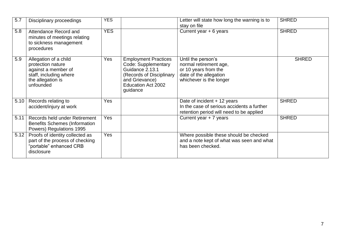| 5.7  | Disciplinary proceedings                                                                                                      | <b>YES</b> |                                                                                                                                                              | Letter will state how long the warning is to<br>stay on file                                                              | <b>SHRED</b> |
|------|-------------------------------------------------------------------------------------------------------------------------------|------------|--------------------------------------------------------------------------------------------------------------------------------------------------------------|---------------------------------------------------------------------------------------------------------------------------|--------------|
| 5.8  | Attendance Record and<br>minutes of meetings relating<br>to sickness management<br>procedures                                 | <b>YES</b> |                                                                                                                                                              | Current year + 6 years                                                                                                    | <b>SHRED</b> |
| 5.9  | Allegation of a child<br>protection nature<br>against a member of<br>staff, including where<br>the allegation is<br>unfounded | <b>Yes</b> | <b>Employment Practices</b><br>Code: Supplementary<br>Guidance 2.13.1<br>(Records of Disciplinary<br>and Grievance)<br><b>Education Act 2002</b><br>guidance | Until the person's<br>normal retirement age,<br>or 10 years from the<br>date of the allegation<br>whichever is the longer | <b>SHRED</b> |
| 5.10 | Records relating to<br>accident/injury at work                                                                                | Yes        |                                                                                                                                                              | Date of incident + 12 years<br>In the case of serious accidents a further<br>retention period will need to be applied     | <b>SHRED</b> |
| 5.11 | Records held under Retirement<br><b>Benefits Schemes (Information</b><br>Powers) Regulations 1995                             | Yes        |                                                                                                                                                              | Current year + 7 years                                                                                                    | <b>SHRED</b> |
| 5.12 | Proofs of identity collected as<br>part of the process of checking<br>"portable" enhanced CRB<br>disclosure                   | Yes        |                                                                                                                                                              | Where possible these should be checked<br>and a note kept of what was seen and what<br>has been checked.                  |              |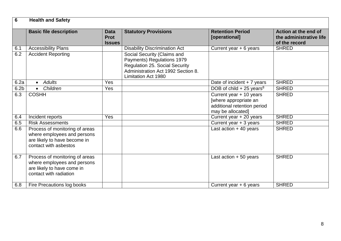| $6\phantom{1}6$  | <b>Health and Safety</b>                                                                                               |                                             |                                                                                                                                                                        |                                                                                                      |                                                                  |
|------------------|------------------------------------------------------------------------------------------------------------------------|---------------------------------------------|------------------------------------------------------------------------------------------------------------------------------------------------------------------------|------------------------------------------------------------------------------------------------------|------------------------------------------------------------------|
|                  | <b>Basic file description</b>                                                                                          | <b>Data</b><br><b>Prot</b><br><b>Issues</b> | <b>Statutory Provisions</b>                                                                                                                                            | <b>Retention Period</b><br>[operational]                                                             | Action at the end of<br>the administrative life<br>of the record |
| 6.1              | <b>Accessibility Plans</b>                                                                                             |                                             | <b>Disability Discrimination Act</b>                                                                                                                                   | Current year $+ 6$ years                                                                             | <b>SHRED</b>                                                     |
| 6.2              | <b>Accident Reporting</b>                                                                                              |                                             | Social Security (Claims and<br>Payments) Regulations 1979<br><b>Regulation 25. Social Security</b><br>Administration Act 1992 Section 8.<br><b>Limitation Act 1980</b> |                                                                                                      |                                                                  |
| 6.2a             | <b>Adults</b><br>$\bullet$                                                                                             | Yes                                         |                                                                                                                                                                        | Date of incident $+ 7$ years                                                                         | <b>SHRED</b>                                                     |
| 6.2 <sub>b</sub> | Children<br>$\bullet$                                                                                                  | Yes                                         |                                                                                                                                                                        | DOB of child $+25$ years <sup>8</sup>                                                                | <b>SHRED</b>                                                     |
| 6.3              | <b>COSHH</b>                                                                                                           |                                             |                                                                                                                                                                        | Current year + 10 years<br>[where appropriate an<br>additional retention period<br>may be allocated] | <b>SHRED</b>                                                     |
| 6.4              | Incident reports                                                                                                       | Yes                                         |                                                                                                                                                                        | Current year + 20 years                                                                              | <b>SHRED</b>                                                     |
| 6.5              | <b>Risk Assessments</b>                                                                                                |                                             |                                                                                                                                                                        | Current year + 3 years                                                                               | <b>SHRED</b>                                                     |
| 6.6              | Process of monitoring of areas<br>where employees and persons<br>are likely to have become in<br>contact with asbestos |                                             |                                                                                                                                                                        | Last action $+40$ years                                                                              | <b>SHRED</b>                                                     |
| 6.7              | Process of monitoring of areas<br>where employees and persons<br>are likely to have come in<br>contact with radiation  |                                             |                                                                                                                                                                        | Last action $+50$ years                                                                              | <b>SHRED</b>                                                     |
| 6.8              | Fire Precautions log books                                                                                             |                                             |                                                                                                                                                                        | Current year + 6 years                                                                               | <b>SHRED</b>                                                     |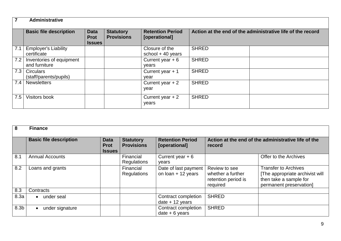|     | <b>Administrative</b>                      |                                             |                                       |                                          |                                                            |  |  |  |  |  |
|-----|--------------------------------------------|---------------------------------------------|---------------------------------------|------------------------------------------|------------------------------------------------------------|--|--|--|--|--|
|     | <b>Basic file description</b>              | <b>Data</b><br><b>Prot</b><br><b>Issues</b> | <b>Statutory</b><br><b>Provisions</b> | <b>Retention Period</b><br>[operational] | Action at the end of the administrative life of the record |  |  |  |  |  |
| 7.1 | <b>Employer's Liability</b><br>certificate |                                             |                                       | Closure of the<br>school $+$ 40 years    | <b>SHRED</b>                                               |  |  |  |  |  |
| 7.2 | Inventories of equipment<br>and furniture  |                                             |                                       | Current year $+6$<br>years               | <b>SHRED</b>                                               |  |  |  |  |  |
| 7.3 | <b>Circulars</b><br>(staff/parents/pupils) |                                             |                                       | Current year $+1$<br>vear                | <b>SHRED</b>                                               |  |  |  |  |  |
| 7.4 | <b>Newsletters</b>                         |                                             |                                       | Current year $+2$<br>year                | <b>SHRED</b>                                               |  |  |  |  |  |
| 7.5 | Visitors book                              |                                             |                                       | Current year $+2$<br>years               | <b>SHRED</b>                                               |  |  |  |  |  |

| 8                | <b>Finance</b>                |                                             |                                       |                                              |                                                                       |                                                                                                                     |  |
|------------------|-------------------------------|---------------------------------------------|---------------------------------------|----------------------------------------------|-----------------------------------------------------------------------|---------------------------------------------------------------------------------------------------------------------|--|
|                  | <b>Basic file description</b> | <b>Data</b><br><b>Prot</b><br><b>Issues</b> | <b>Statutory</b><br><b>Provisions</b> | <b>Retention Period</b><br>[operational]     | Action at the end of the administrative life of the<br>record         |                                                                                                                     |  |
| 8.1              | <b>Annual Accounts</b>        |                                             | Financial<br>Regulations              | Current year $+6$<br>vears                   |                                                                       | Offer to the Archives                                                                                               |  |
| 8.2              | Loans and grants              |                                             | Financial<br>Regulations              | Date of last payment<br>on $Ioan + 12$ years | Review to see<br>whether a further<br>retention period is<br>required | <b>Transfer to Archives</b><br>[The appropriate archivist will<br>then take a sample for<br>permanent preservation] |  |
| 8.3              | Contracts                     |                                             |                                       |                                              |                                                                       |                                                                                                                     |  |
| 8.3a             | under seal                    |                                             |                                       | Contract completion<br>date $+12$ years      | <b>SHRED</b>                                                          |                                                                                                                     |  |
| 8.3 <sub>b</sub> | under signature               |                                             |                                       | Contract completion<br>$date + 6 years$      | <b>SHRED</b>                                                          |                                                                                                                     |  |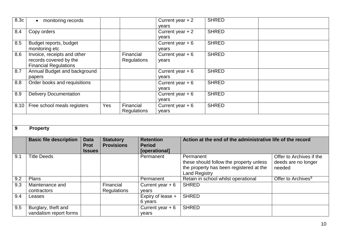| 8.3c | monitoring records<br>$\bullet$                                                       |                                             |                                       |                                            |                                   | Current year $+2$<br>years |                      | <b>SHRED</b>                                                                       |                                |
|------|---------------------------------------------------------------------------------------|---------------------------------------------|---------------------------------------|--------------------------------------------|-----------------------------------|----------------------------|----------------------|------------------------------------------------------------------------------------|--------------------------------|
| 8.4  | Copy orders                                                                           |                                             |                                       |                                            |                                   | Current year $+2$<br>years |                      | <b>SHRED</b>                                                                       |                                |
| 8.5  | Budget reports, budget<br>monitoring etc                                              |                                             |                                       |                                            |                                   | Current year $+6$<br>years |                      | <b>SHRED</b>                                                                       |                                |
| 8.6  | Invoice, receipts and other<br>records covered by the<br><b>Financial Regulations</b> |                                             |                                       | Financial<br><b>Regulations</b>            |                                   | Current year $+6$<br>years |                      | <b>SHRED</b>                                                                       |                                |
| 8.7  | papers                                                                                | Annual Budget and background                |                                       |                                            |                                   | Current year $+6$<br>years |                      | <b>SHRED</b>                                                                       |                                |
| 8.8  | Order books and requisitions                                                          |                                             |                                       |                                            |                                   | Current year $+6$<br>years |                      | <b>SHRED</b>                                                                       |                                |
| 8.9  | <b>Delivery Documentation</b>                                                         |                                             |                                       |                                            |                                   | Current year $+6$<br>years |                      | <b>SHRED</b>                                                                       |                                |
| 8.10 | Yes<br>Financial<br>Free school meals registers<br><b>Regulations</b>                 |                                             |                                       | Current year $+6$<br><b>SHRED</b><br>years |                                   |                            |                      |                                                                                    |                                |
|      |                                                                                       |                                             |                                       |                                            |                                   |                            |                      |                                                                                    |                                |
| 9    | <b>Property</b>                                                                       |                                             |                                       |                                            |                                   |                            |                      |                                                                                    |                                |
|      | <b>Basic file description</b>                                                         | <b>Data</b><br><b>Prot</b><br><b>Issues</b> | <b>Statutory</b><br><b>Provisions</b> |                                            | <b>Retention</b><br><b>Period</b> | [operational]              |                      | Action at the end of the administrative life of the record                         |                                |
| 9.1  | <b>Title Deeds</b>                                                                    |                                             |                                       |                                            | Permanent                         |                            | Permanent            |                                                                                    | Offer to Archives if the       |
|      |                                                                                       |                                             |                                       |                                            |                                   |                            | <b>Land Registry</b> | these should follow the property unless<br>the property has been registered at the | deeds are no longer<br>needed  |
| 9.2  | Plans                                                                                 |                                             |                                       |                                            | Permanent                         |                            |                      | Retain in school whilst operational                                                | Offer to Archives <sup>9</sup> |
| 9.3  | Maintenance and<br>contractors                                                        |                                             | Financial<br><b>Regulations</b>       |                                            | Current year $+6$<br>years        |                            | <b>SHRED</b>         |                                                                                    |                                |
| 9.4  |                                                                                       |                                             |                                       |                                            |                                   | Expiry of lease +          | <b>SHRED</b>         |                                                                                    |                                |
|      | Leases                                                                                |                                             |                                       |                                            | 6 years                           |                            |                      |                                                                                    |                                |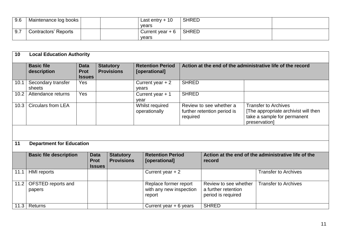| 9.6 | Maintenance log books       |  | Last entry $+10$  | <b>SHRED</b> |  |
|-----|-----------------------------|--|-------------------|--------------|--|
|     |                             |  | vears             |              |  |
| 9.7 | <b>Contractors' Reports</b> |  | Current year $+6$ | <b>SHRED</b> |  |
|     |                             |  | vears             |              |  |

| 10   | <b>Local Education Authority</b>                                                                                      |                                             |                                          |                                       |                                                               |                         |                                                                    |  |                                                                                                                     |
|------|-----------------------------------------------------------------------------------------------------------------------|---------------------------------------------|------------------------------------------|---------------------------------------|---------------------------------------------------------------|-------------------------|--------------------------------------------------------------------|--|---------------------------------------------------------------------------------------------------------------------|
|      | <b>Basic file</b><br>description                                                                                      | <b>Data</b><br><b>Prot</b><br><b>Issues</b> |                                          | <b>Statutory</b><br><b>Provisions</b> | <b>Retention Period</b><br>[operational]                      |                         |                                                                    |  | Action at the end of the administrative life of the record                                                          |
| 10.1 | Secondary transfer<br>sheets                                                                                          | Yes                                         |                                          |                                       | Current year $+2$<br>years                                    | <b>SHRED</b>            |                                                                    |  |                                                                                                                     |
| 10.2 | Attendance returns                                                                                                    | Yes                                         |                                          |                                       | Current year $+1$<br>year                                     | <b>SHRED</b>            |                                                                    |  |                                                                                                                     |
| 10.3 | <b>Circulars from LEA</b>                                                                                             |                                             |                                          |                                       | Whilst required<br>operationally                              | required                | Review to see whether a<br>further retention period is             |  | <b>Transfer to Archives</b><br>[The appropriate archivist will then<br>take a sample for permanent<br>preservation] |
|      |                                                                                                                       |                                             |                                          |                                       |                                                               |                         |                                                                    |  |                                                                                                                     |
| 11   | <b>Department for Education</b>                                                                                       |                                             |                                          |                                       |                                                               |                         |                                                                    |  |                                                                                                                     |
|      | <b>Basic file description</b><br><b>Statutory</b><br><b>Data</b><br><b>Prot</b><br><b>Provisions</b><br><b>Issues</b> |                                             | <b>Retention Period</b><br>[operational] |                                       | Action at the end of the administrative life of the<br>record |                         |                                                                    |  |                                                                                                                     |
| 11.1 | <b>HMI</b> reports                                                                                                    |                                             |                                          |                                       | Current year $+2$                                             |                         |                                                                    |  | <b>Transfer to Archives</b>                                                                                         |
| 11.2 | OFSTED reports and<br>papers                                                                                          |                                             |                                          |                                       | Replace former report<br>report                               | with any new inspection | Review to see whether<br>a further retention<br>period is required |  | <b>Transfer to Archives</b>                                                                                         |
|      | $11.3$ Returns                                                                                                        |                                             |                                          |                                       | Current year $+ 6$ years                                      |                         | <b>SHRED</b>                                                       |  |                                                                                                                     |